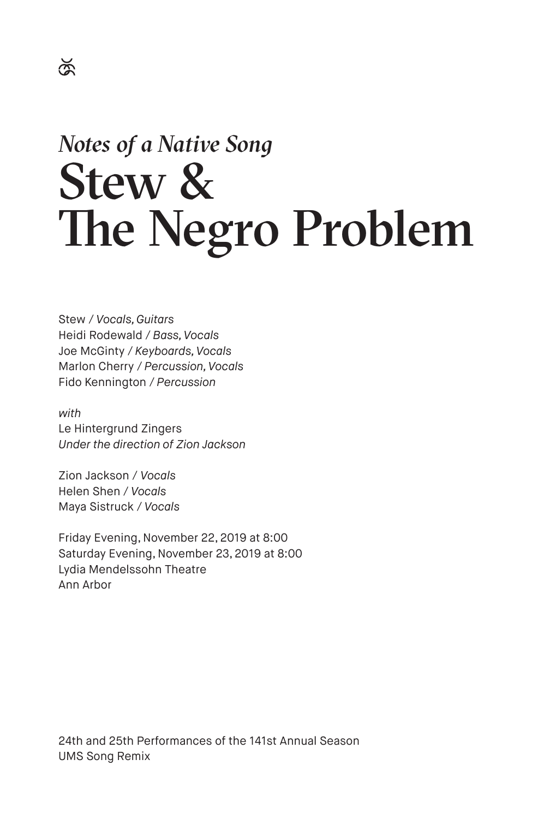# *Notes of a Native Song* Stew & The Negro Problem

Stew / *Vocals, Guitars* Heidi Rodewald / *Bass, Vocals* Joe McGinty / *Keyboards, Vocals* Marlon Cherry / *Percussion, Vocals* Fido Kennington / *Percussion*

*with* Le Hintergrund Zingers *Under the direction of Zion Jackson*

Zion Jackson / *Vocals* Helen Shen / *Vocals* Maya Sistruck / *Vocals*

Friday Evening, November 22, 2019 at 8:00 Saturday Evening, November 23, 2019 at 8:00 Lydia Mendelssohn Theatre Ann Arbor

24th and 25th Performances of the 141st Annual Season UMS Song Remix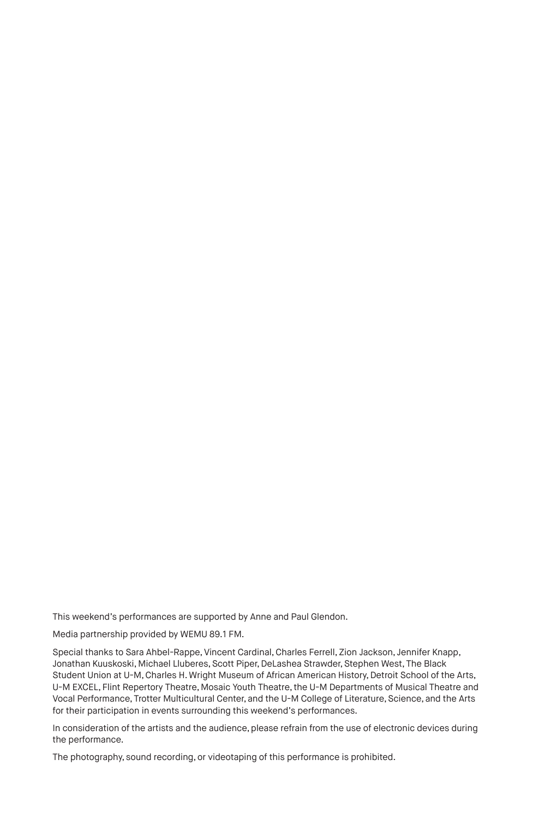This weekend's performances are supported by Anne and Paul Glendon.

Media partnership provided by WEMU 89.1 FM.

Special thanks to Sara Ahbel-Rappe, Vincent Cardinal, Charles Ferrell, Zion Jackson, Jennifer Knapp, Jonathan Kuuskoski, Michael Lluberes, Scott Piper, DeLashea Strawder, Stephen West, The Black Student Union at U-M, Charles H. Wright Museum of African American History, Detroit School of the Arts, U-M EXCEL, Flint Repertory Theatre, Mosaic Youth Theatre, the U-M Departments of Musical Theatre and Vocal Performance, Trotter Multicultural Center, and the U-M College of Literature, Science, and the Arts for their participation in events surrounding this weekend's performances.

In consideration of the artists and the audience, please refrain from the use of electronic devices during the performance.

The photography, sound recording, or videotaping of this performance is prohibited.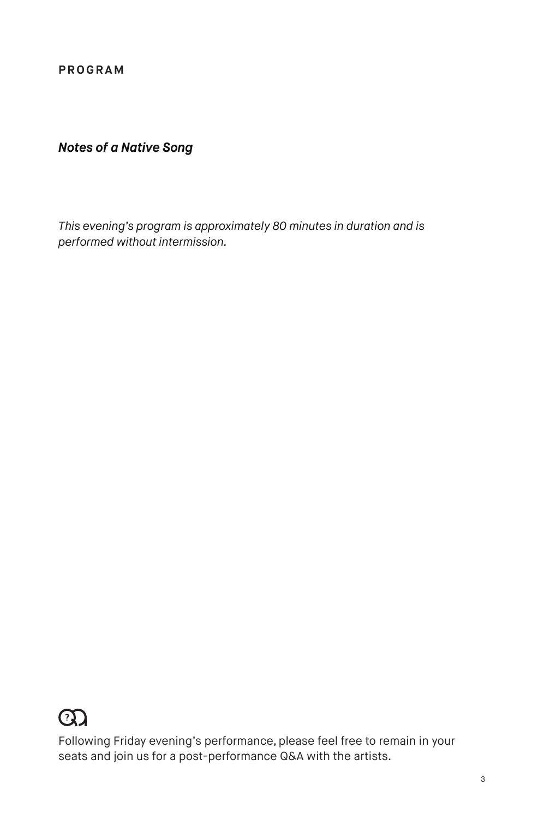**PROGRAM**

#### *Notes of a Native Song*

*This evening's program is approximately 80 minutes in duration and is performed without intermission.*

### $\Omega$

Following Friday evening's performance, please feel free to remain in your seats and join us for a post-performance Q&A with the artists.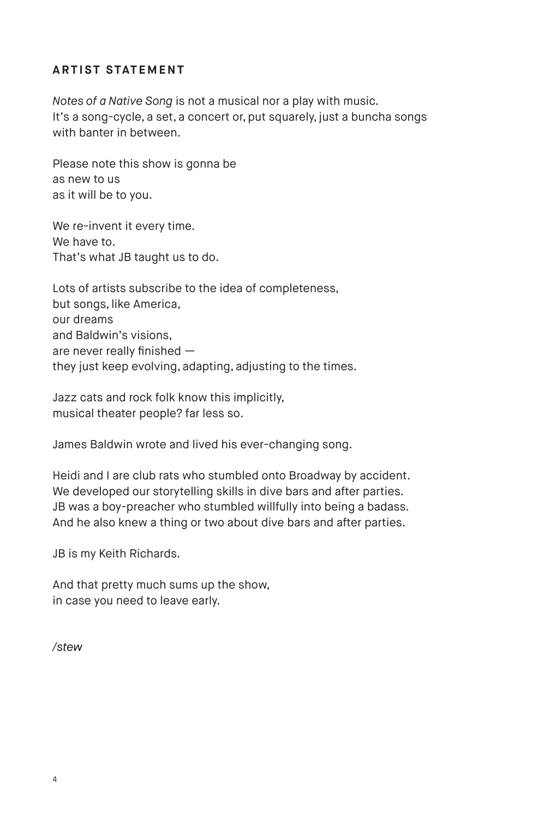#### **ARTIST STATEMENT**

*Notes of a Native Song* is not a musical nor a play with music. It's a song-cycle, a set, a concert or, put squarely, just a buncha songs with banter in between.

Please note this show is gonna be as new to us as it will be to you.

We re-invent it every time. We have to. That's what JB taught us to do.

Lots of artists subscribe to the idea of completeness, but songs, like America, our dreams and Baldwin's visions, are never really finished they just keep evolving, adapting, adjusting to the times.

Jazz cats and rock folk know this implicitly, musical theater people? far less so.

James Baldwin wrote and lived his ever-changing song.

Heidi and I are club rats who stumbled onto Broadway by accident. We developed our storytelling skills in dive bars and after parties. JB was a boy-preacher who stumbled willfully into being a badass. And he also knew a thing or two about dive bars and after parties.

JB is my Keith Richards.

And that pretty much sums up the show, in case you need to leave early.

*/stew*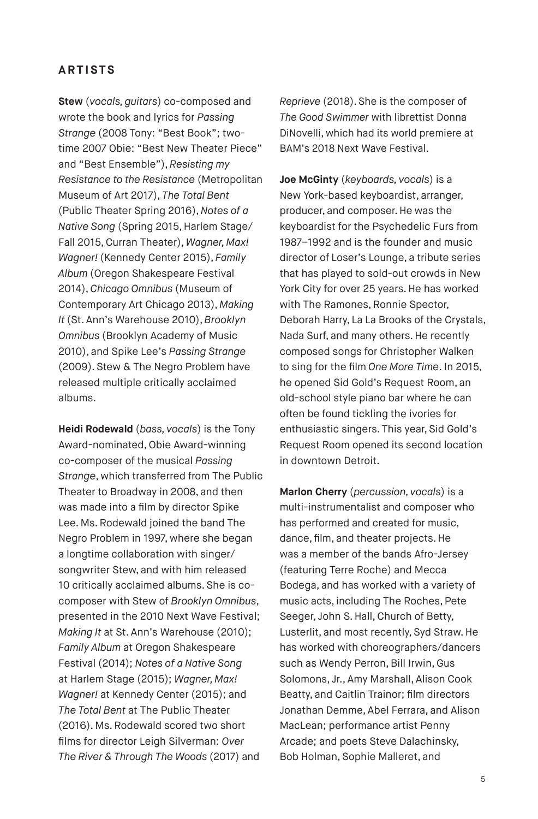#### **ARTISTS**

**Stew** (*vocals, guitars*) co-composed and wrote the book and lyrics for *Passing Strange* (2008 Tony: "Best Book"; twotime 2007 Obie: "Best New Theater Piece" and "Best Ensemble"), *Resisting my Resistance to the Resistance* (Metropolitan Museum of Art 2017), *The Total Bent* (Public Theater Spring 2016), *Notes of a Native Song* (Spring 2015, Harlem Stage/ Fall 2015, Curran Theater), *Wagner, Max! Wagner!* (Kennedy Center 2015), *Family Album* (Oregon Shakespeare Festival 2014), *Chicago Omnibus* (Museum of Contemporary Art Chicago 2013), *Making It* (St. Ann's Warehouse 2010), *Brooklyn Omnibus* (Brooklyn Academy of Music 2010), and Spike Lee's *Passing Strange* (2009). Stew & The Negro Problem have released multiple critically acclaimed albums.

**Heidi Rodewald** (*bass, vocals*) is the Tony Award-nominated, Obie Award-winning co-composer of the musical *Passing Strange*, which transferred from The Public Theater to Broadway in 2008, and then was made into a film by director Spike Lee. Ms. Rodewald joined the band The Negro Problem in 1997, where she began a longtime collaboration with singer/ songwriter Stew, and with him released 10 critically acclaimed albums. She is cocomposer with Stew of *Brooklyn Omnibus*, presented in the 2010 Next Wave Festival; *Making It* at St. Ann's Warehouse (2010); *Family Album* at Oregon Shakespeare Festival (2014); *Notes of a Native Song* at Harlem Stage (2015); *Wagner, Max! Wagner!* at Kennedy Center (2015); and *The Total Bent* at The Public Theater (2016). Ms. Rodewald scored two short films for director Leigh Silverman: *Over The River & Through The Woods* (2017) and

*Reprieve* (2018). She is the composer of *The Good Swimmer* with librettist Donna DiNovelli, which had its world premiere at BAM's 2018 Next Wave Festival.

**Joe McGinty** (*keyboards, vocals*) is a New York-based keyboardist, arranger, producer, and composer. He was the keyboardist for the Psychedelic Furs from 1987–1992 and is the founder and music director of Loser's Lounge, a tribute series that has played to sold-out crowds in New York City for over 25 years. He has worked with The Ramones, Ronnie Spector, Deborah Harry, La La Brooks of the Crystals, Nada Surf, and many others. He recently composed songs for Christopher Walken to sing for the film *One More Time*. In 2015, he opened Sid Gold's Request Room, an old-school style piano bar where he can often be found tickling the ivories for enthusiastic singers. This year, Sid Gold's Request Room opened its second location in downtown Detroit.

**Marlon Cherry** (*percussion, vocals*) is a multi-instrumentalist and composer who has performed and created for music, dance, film, and theater projects. He was a member of the bands Afro-Jersey (featuring Terre Roche) and Mecca Bodega, and has worked with a variety of music acts, including The Roches, Pete Seeger, John S. Hall, Church of Betty, Lusterlit, and most recently, Syd Straw. He has worked with choreographers/dancers such as Wendy Perron, Bill Irwin, Gus Solomons, Jr., Amy Marshall, Alison Cook Beatty, and Caitlin Trainor; film directors Jonathan Demme, Abel Ferrara, and Alison MacLean; performance artist Penny Arcade; and poets Steve Dalachinsky, Bob Holman, Sophie Malleret, and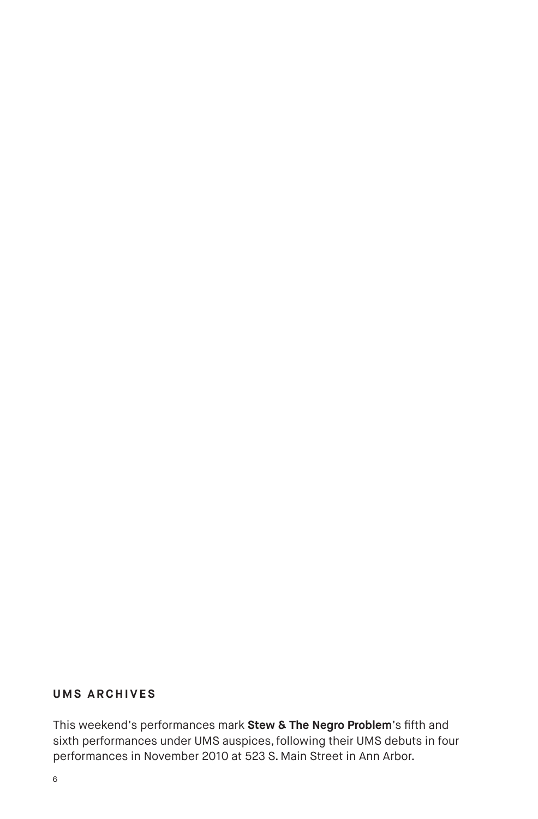#### **UMS ARCHIVES**

This weekend's performances mark **Stew & The Negro Problem**'s fifth and sixth performances under UMS auspices, following their UMS debuts in four performances in November 2010 at 523 S. Main Street in Ann Arbor.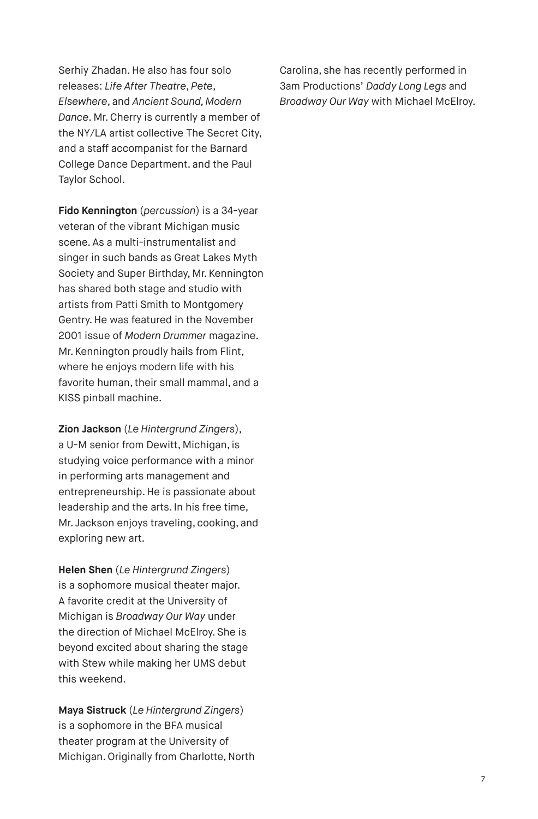Serhiy Zhadan. He also has four solo releases: *Life After Theatre*, *Pete*, *Elsewhere*, and *Ancient Sound, Modern Dance*. Mr. Cherry is currently a member of the NY/LA artist collective The Secret City, and a staff accompanist for the Barnard College Dance Department. and the Paul Taylor School.

**Fido Kennington** (*percussion*) is a 34-year veteran of the vibrant Michigan music scene. As a multi-instrumentalist and singer in such bands as Great Lakes Myth Society and Super Birthday, Mr. Kennington has shared both stage and studio with artists from Patti Smith to Montgomery Gentry. He was featured in the November 2001 issue of *Modern Drummer* magazine. Mr. Kennington proudly hails from Flint, where he enjoys modern life with his favorite human, their small mammal, and a KISS pinball machine.

**Zion Jackson** (*Le Hintergrund Zingers*), a U-M senior from Dewitt, Michigan, is studying voice performance with a minor in performing arts management and entrepreneurship. He is passionate about leadership and the arts. In his free time, Mr. Jackson enjoys traveling, cooking, and exploring new art.

**Helen Shen** (*Le Hintergrund Zingers*) is a sophomore musical theater major. A favorite credit at the University of Michigan is *Broadway Our Way* under the direction of Michael McElroy. She is beyond excited about sharing the stage with Stew while making her UMS debut this weekend.

**Maya Sistruck** (*Le Hintergrund Zingers*) is a sophomore in the BFA musical theater program at the University of Michigan. Originally from Charlotte, North Carolina, she has recently performed in 3am Productions' *Daddy Long Legs* and *Broadway Our Way* with Michael McElroy.